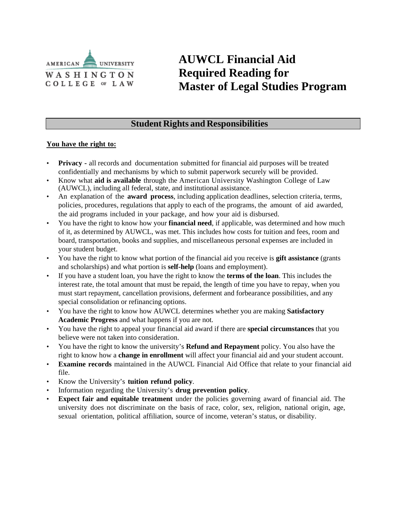

# **AUWCL Financial Aid Required Reading for Master of Legal Studies Program**

# **Student Rights and Responsibilities**

### **You have the right to:**

- **Privacy -** all records and documentation submitted for financial aid purposes will be treated confidentially and mechanisms by which to submit paperwork securely will be provided.
- Know what **aid is available** through the American University Washington College of Law (AUWCL), including all federal, state, and institutional assistance.
- An explanation of the **award process**, including application deadlines, selection criteria, terms, policies, procedures, regulations that apply to each of the programs, the amount of aid awarded, the aid programs included in your package, and how your aid is disbursed.
- You have the right to know how your **financial need**, if applicable, was determined and how much of it, as determined by AUWCL, was met. This includes how costs for tuition and fees, room and board, transportation, books and supplies, and miscellaneous personal expenses are included in your student budget.
- You have the right to know what portion of the financial aid you receive is **gift assistance** (grants and scholarships) and what portion is **self-help** (loans and employment).
- If you have a student loan, you have the right to know the **terms of the loan**. This includes the interest rate, the total amount that must be repaid, the length of time you have to repay, when you must start repayment, cancellation provisions, deferment and forbearance possibilities, and any special consolidation or refinancing options.
- You have the right to know how AUWCL determines whether you are making **Satisfactory Academic Progress** and what happens if you are not.
- You have the right to appeal your financial aid award if there are **special circumstances** that you believe were not taken into consideration.
- You have the right to know the university's **Refund and Repayment** policy. You also have the right to know how a **change in enrollment** will affect your financial aid and your student account.
- **Examine records** maintained in the AUWCL Financial Aid Office that relate to your financial aid file.
- Know the University's **tuition refund policy**.
- Information regarding the University's **drug prevention policy**.
- **Expect fair and equitable treatment** under the policies governing award of financial aid. The university does not discriminate on the basis of race, color, sex, religion, national origin, age, sexual orientation, political affiliation, source of income, veteran's status, or disability.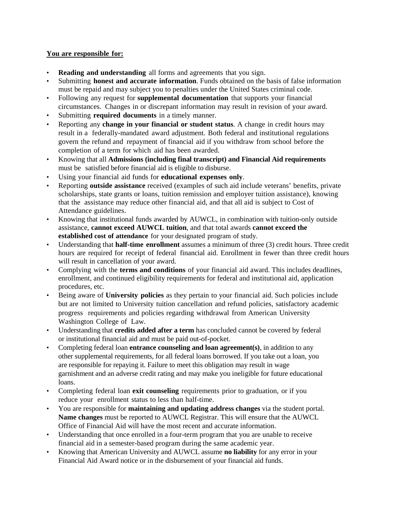## **You are responsible for:**

- **Reading and understanding** all forms and agreements that you sign.
- Submitting **honest and accurate information**. Funds obtained on the basis of false information must be repaid and may subject you to penalties under the United States criminal code.
- Following any request for **supplemental documentation** that supports your financial circumstances. Changes in or discrepant information may result in revision of your award.
- Submitting **required documents** in a timely manner.
- Reporting any **change in your financial or student status**. A change in credit hours may result in a federally-mandated award adjustment. Both federal and institutional regulations govern the refund and repayment of financial aid if you withdraw from school before the completion of a term for which aid has been awarded.
- Knowing that all **Admissions (including final transcript) and Financial Aid requirements** must be satisfied before financial aid is eligible to disburse.
- Using your financial aid funds for **educational expenses only**.
- Reporting **outside assistance** received (examples of such aid include veterans' benefits, private scholarships, state grants or loans, tuition remission and employer tuition assistance), knowing that the assistance may reduce other financial aid, and that all aid is subject to Cost of Attendance guidelines.
- Knowing that institutional funds awarded by AUWCL, in combination with tuition-only outside assistance, **cannot exceed AUWCL tuition**, and that total awards **cannot exceed the established cost of attendance** for your designated program of study.
- Understanding that **half-time enrollment** assumes a minimum of three (3) credit hours. Three credit hours are required for receipt of federal financial aid. Enrollment in fewer than three credit hours will result in cancellation of your award.
- Complying with the **terms and conditions** of your financial aid award. This includes deadlines, enrollment, and continued eligibility requirements for federal and institutional aid, application procedures, etc.
- Being aware of **University policies** as they pertain to your financial aid. Such policies include but are not limited to University tuition cancellation and refund policies, satisfactory academic progress requirements and policies regarding withdrawal from American University Washington College of Law.
- Understanding that **credits added after a term** has concluded cannot be covered by federal or institutional financial aid and must be paid out-of-pocket.
- Completing federal loan **entrance counseling and loan agreement(s)**, in addition to any other supplemental requirements, for all federal loans borrowed. If you take out a loan, you are responsible for repaying it. Failure to meet this obligation may result in wage garnishment and an adverse credit rating and may make you ineligible for future educational loans.
- Completing federal loan **exit counseling** requirements prior to graduation, or if you reduce your enrollment status to less than half-time.
- You are responsible for **maintaining and updating address changes** via the student portal. **Name changes** must be reported to AUWCL Registrar. This will ensure that the AUWCL Office of Financial Aid will have the most recent and accurate information.
- Understanding that once enrolled in a four-term program that you are unable to receive financial aid in a semester-based program during the same academic year.
- Knowing that American University and AUWCL assume **no liability** for any error in your Financial Aid Award notice or in the disbursement of your financial aid funds.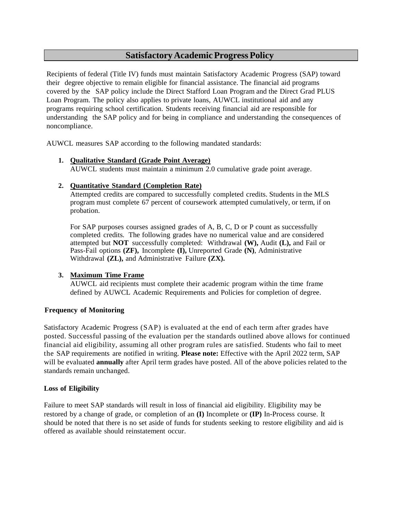## **Satisfactory Academic Progress Policy**

Recipients of federal (Title IV) funds must maintain Satisfactory Academic Progress (SAP) toward their degree objective to remain eligible for financial assistance. The financial aid programs covered by the SAP policy include the Direct Stafford Loan Program and the Direct Grad PLUS Loan Program. The policy also applies to private loans, AUWCL institutional aid and any programs requiring school certification. Students receiving financial aid are responsible for understanding the SAP policy and for being in compliance and understanding the consequences of noncompliance.

AUWCL measures SAP according to the following mandated standards:

#### **1. Qualitative Standard (Grade Point Average)**

AUWCL students must maintain a minimum 2.0 cumulative grade point average.

#### **2. Quantitative Standard (Completion Rate)**

Attempted credits are compared to successfully completed credits. Students in the MLS program must complete 67 percent of coursework attempted cumulatively, or term, if on probation.

For SAP purposes courses assigned grades of A, B, C, D or P count as successfully completed credits. The following grades have no numerical value and are considered attempted but **NOT** successfully completed: Withdrawal **(W),** Audit **(L),** and Fail or Pass-Fail options **(ZF),** Incomplete **(I),** Unreported Grade **(N)**, Administrative Withdrawal **(ZL),** and Administrative Failure **(ZX).**

#### **3. Maximum Time Frame**

AUWCL aid recipients must complete their academic program within the time frame defined by AUWCL Academic Requirements and Policies for completion of degree.

#### **Frequency of Monitoring**

Satisfactory Academic Progress (SAP) is evaluated at the end of each term after grades have posted. Successful passing of the evaluation per the standards outlined above allows for continued financial aid eligibility, assuming all other program rules are satisfied. Students who fail to meet the SAP requirements are notified in writing. **Please note:** Effective with the April 2022 term, SAP will be evaluated **annually** after April term grades have posted. All of the above policies related to the standards remain unchanged.

#### **Loss of Eligibility**

Failure to meet SAP standards will result in loss of financial aid eligibility. Eligibility may be restored by a change of grade, or completion of an **(I)** Incomplete or **(IP)** In-Process course. It should be noted that there is no set aside of funds for students seeking to restore eligibility and aid is offered as available should reinstatement occur.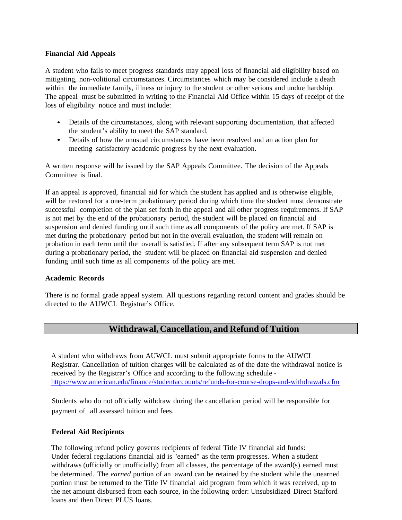#### **Financial Aid Appeals**

A student who fails to meet progress standards may appeal loss of financial aid eligibility based on mitigating, non-volitional circumstances. Circumstances which may be considered include a death within the immediate family, illness or injury to the student or other serious and undue hardship. The appeal must be submitted in writing to the Financial Aid Office within 15 days of receipt of the loss of eligibility notice and must include:

- Details of the circumstances, along with relevant supporting documentation, that affected the student's ability to meet the SAP standard.
- Details of how the unusual circumstances have been resolved and an action plan for meeting satisfactory academic progress by the next evaluation.

A written response will be issued by the SAP Appeals Committee. The decision of the Appeals Committee is final.

If an appeal is approved, financial aid for which the student has applied and is otherwise eligible, will be restored for a one-term probationary period during which time the student must demonstrate successful completion of the plan set forth in the appeal and all other progress requirements. If SAP is not met by the end of the probationary period, the student will be placed on financial aid suspension and denied funding until such time as all components of the policy are met. If SAP is met during the probationary period but not in the overall evaluation, the student will remain on probation in each term until the overall is satisfied. If after any subsequent term SAP is not met during a probationary period, the student will be placed on financial aid suspension and denied funding until such time as all components of the policy are met.

#### **Academic Records**

There is no formal grade appeal system. All questions regarding record content and grades should be directed to the AUWCL Registrar's Office.

## **Withdrawal, Cancellation, and Refund of Tuition**

A student who withdraws from AUWCL must submit appropriate forms to the AUWCL Registrar. Cancellation of tuition charges will be calculated as of the date the withdrawal notice is received by the Registrar's Office and according to the following schedule <https://www.american.edu/finance/studentaccounts/refunds-for-course-drops-and-withdrawals.cfm>

Students who do not officially withdraw during the cancellation period will be responsible for payment of all assessed tuition and fees.

#### **Federal Aid Recipients**

The following refund policy governs recipients of federal Title IV financial aid funds: Under federal regulations financial aid is "earned" as the term progresses. When a student withdraws (officially or unofficially) from all classes, the percentage of the award(s) earned must be determined. The *earned* portion of an award can be retained by the student while the unearned portion must be returned to the Title IV financial aid program from which it was received, up to the net amount disbursed from each source, in the following order: Unsubsidized Direct Stafford loans and then Direct PLUS loans.